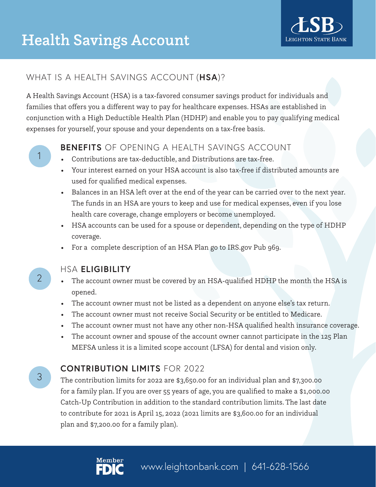

# WHAT IS A HEALTH SAVINGS ACCOUNT (**HSA**)?

A Health Savings Account (HSA) is a tax-favored consumer savings product for individuals and families that offers you a different way to pay for healthcare expenses. HSAs are established in conjunction with a High Deductible Health Plan (HDHP) and enable you to pay qualifying medical expenses for yourself, your spouse and your dependents on a tax-free basis.



## **BENEFITS** OF OPENING A HEALTH SAVINGS ACCOUNT

- Contributions are tax-deductible, and Distributions are tax-free.
- Your interest earned on your HSA account is also tax-free if distributed amounts are used for qualified medical expenses.
- Balances in an HSA left over at the end of the year can be carried over to the next year. The funds in an HSA are yours to keep and use for medical expenses, even if you lose health care coverage, change employers or become unemployed.
- HSA accounts can be used for a spouse or dependent, depending on the type of HDHP coverage.
- For a complete description of an HSA Plan go to IRS.gov Pub 969.



#### HSA **ELIGIBILITY**

- The account owner must be covered by an HSA-qualified HDHP the month the HSA is opened.
- The account owner must not be listed as a dependent on anyone else's tax return.
- The account owner must not receive Social Security or be entitled to Medicare.
- The account owner must not have any other non-HSA qualified health insurance coverage.
- The account owner and spouse of the account owner cannot participate in the 125 Plan MEFSA unless it is a limited scope account (LFSA) for dental and vision only.

### **CONTRIBUTION LIMITS** FOR 2022

The contribution limits for 2022 are \$3,650.00 for an individual plan and \$7,300.00 for a family plan. If you are over 55 years of age, you are qualified to make a \$1,000.00 Catch-Up Contribution in addition to the standard contribution limits. The last date to contribute for 2021 is April 15, 2022 (2021 limits are \$3,600.00 for an individual plan and \$7,200.00 for a family plan).

3